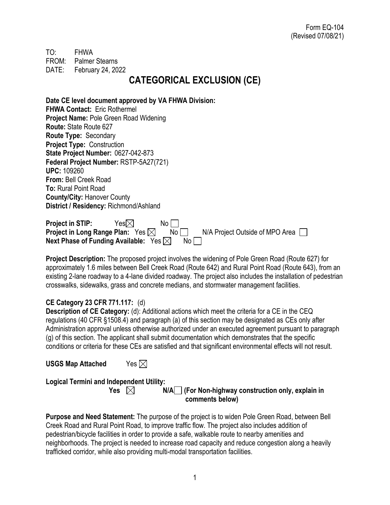TO: FHWA FROM: Palmer Stearns DATE: February 24, 2022

# **CATEGORICAL EXCLUSION (CE)**

**Date CE level document approved by VA FHWA Division: FHWA Contact:** Eric Rothermel **Project Name:** Pole Green Road Widening **Route:** State Route 627 **Route Type:** Secondary **Project Type:** Construction **State Project Number:** 0627-042-873 **Federal Project Number:** RSTP-5A27(721) **UPC:** 109260 **From:** Bell Creek Road **To:** Rural Point Road **County/City:** Hanover County **District / Residency:** Richmond/Ashland

| <b>Project in STIP:</b>                          | Yes $\boxtimes$ | No l |                                 |  |
|--------------------------------------------------|-----------------|------|---------------------------------|--|
| Project in Long Range Plan: Yes $\boxtimes$      |                 | No l | N/A Project Outside of MPO Area |  |
| Next Phase of Funding Available: $Yes \boxtimes$ |                 |      |                                 |  |

**Project Description:** The proposed project involves the widening of Pole Green Road (Route 627) for approximately 1.6 miles between Bell Creek Road (Route 642) and Rural Point Road (Route 643), from an existing 2-lane roadway to a 4-lane divided roadway. The project also includes the installation of pedestrian crosswalks, sidewalks, grass and concrete medians, and stormwater management facilities.

#### **CE Category 23 CFR 771.117:** (d)

**Description of CE Category:** (d): Additional actions which meet the criteria for a CE in the CEQ regulations (40 CFR §1508.4) and paragraph (a) of this section may be designated as CEs only after Administration approval unless otherwise authorized under an executed agreement pursuant to paragraph (g) of this section. The applicant shall submit documentation which demonstrates that the specific conditions or criteria for these CEs are satisfied and that significant environmental effects will not result.

**USGS Map Attached** Yes

**Logical Termini and Independent Utility:**

**Yes**  $\boxtimes$  **N/A** (For Non-highway construction only, explain in  **comments below)**

**Purpose and Need Statement:** The purpose of the project is to widen Pole Green Road, between Bell Creek Road and Rural Point Road, to improve traffic flow. The project also includes addition of pedestrian/bicycle facilities in order to provide a safe, walkable route to nearby amenities and neighborhoods. The project is needed to increase road capacity and reduce congestion along a heavily trafficked corridor, while also providing multi-modal transportation facilities.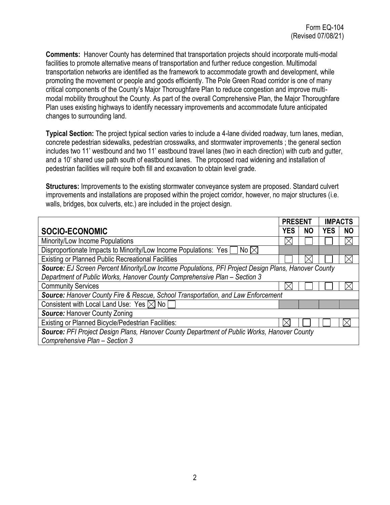**Comments:** Hanover County has determined that transportation projects should incorporate multi-modal facilities to promote alternative means of transportation and further reduce congestion. Multimodal transportation networks are identified as the framework to accommodate growth and development, while promoting the movement or people and goods efficiently. The Pole Green Road corridor is one of many critical components of the County's Major Thoroughfare Plan to reduce congestion and improve multimodal mobility throughout the County. As part of the overall Comprehensive Plan, the Major Thoroughfare Plan uses existing highways to identify necessary improvements and accommodate future anticipated changes to surrounding land.

**Typical Section:** The project typical section varies to include a 4-lane divided roadway, turn lanes, median, concrete pedestrian sidewalks, pedestrian crosswalks, and stormwater improvements ; the general section includes two 11' westbound and two 11' eastbound travel lanes (two in each direction) with curb and gutter, and a 10' shared use path south of eastbound lanes. The proposed road widening and installation of pedestrian facilities will require both fill and excavation to obtain level grade.

**Structures:** Improvements to the existing stormwater conveyance system are proposed. Standard culvert improvements and installations are proposed within the project corridor, however, no major structures (i.e. walls, bridges, box culverts, etc.) are included in the project design.

|                                                                                                     | <b>PRESENT</b> |           | <b>IMPACTS</b> |           |
|-----------------------------------------------------------------------------------------------------|----------------|-----------|----------------|-----------|
| SOCIO-ECONOMIC                                                                                      | <b>YES</b>     | <b>NO</b> | <b>YES</b>     | <b>NO</b> |
| Minority/Low Income Populations                                                                     | Х              |           |                | $\times$  |
| Disproportionate Impacts to Minority/Low Income Populations: Yes [<br>No $\boxtimes$                |                |           |                |           |
| <b>Existing or Planned Public Recreational Facilities</b>                                           |                |           |                |           |
| Source: EJ Screen Percent Minority/Low Income Populations, PFI Project Design Plans, Hanover County |                |           |                |           |
| Department of Public Works, Hanover County Comprehensive Plan - Section 3                           |                |           |                |           |
| <b>Community Services</b>                                                                           |                |           |                |           |
| Source: Hanover County Fire & Rescue, School Transportation, and Law Enforcement                    |                |           |                |           |
| Consistent with Local Land Use: Yes $\boxtimes$ No [                                                |                |           |                |           |
| <b>Source: Hanover County Zoning</b>                                                                |                |           |                |           |
| Existing or Planned Bicycle/Pedestrian Facilities:                                                  |                |           |                |           |
| Source: PFI Project Design Plans, Hanover County Department of Public Works, Hanover County         |                |           |                |           |
| Comprehensive Plan - Section 3                                                                      |                |           |                |           |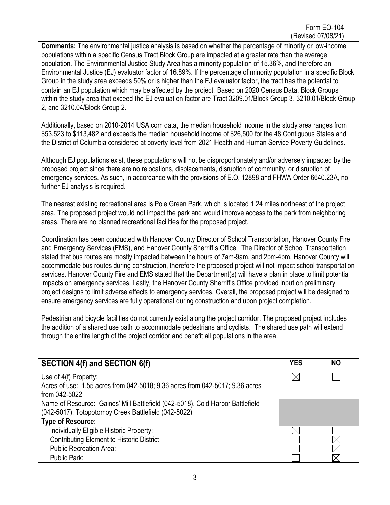**Comments:** The environmental justice analysis is based on whether the percentage of minority or low-income populations within a specific Census Tract Block Group are impacted at a greater rate than the average population. The Environmental Justice Study Area has a minority population of 15.36%, and therefore an Environmental Justice (EJ) evaluator factor of 16.89%. If the percentage of minority population in a specific Block Group in the study area exceeds 50% or is higher than the EJ evaluator factor, the tract has the potential to contain an EJ population which may be affected by the project. Based on 2020 Census Data, Block Groups within the study area that exceed the EJ evaluation factor are Tract 3209.01/Block Group 3, 3210.01/Block Group 2, and 3210.04/Block Group 2.

Additionally, based on 2010-2014 USA.com data, the median household income in the study area ranges from \$53,523 to \$113,482 and exceeds the median household income of \$26,500 for the 48 Contiguous States and the District of Columbia considered at poverty level from 2021 Health and Human Service Poverty Guidelines.

Although EJ populations exist, these populations will not be disproportionately and/or adversely impacted by the proposed project since there are no relocations, displacements, disruption of community, or disruption of emergency services. As such, in accordance with the provisions of E.O. 12898 and FHWA Order 6640.23A, no further EJ analysis is required.

The nearest existing recreational area is Pole Green Park, which is located 1.24 miles northeast of the project area. The proposed project would not impact the park and would improve access to the park from neighboring areas. There are no planned recreational facilities for the proposed project.

Coordination has been conducted with Hanover County Director of School Transportation, Hanover County Fire and Emergency Services (EMS), and Hanover County Sherriff's Office. The Director of School Transportation stated that bus routes are mostly impacted between the hours of 7am-9am, and 2pm-4pm. Hanover County will accommodate bus routes during construction, therefore the proposed project will not impact school transportation services. Hanover County Fire and EMS stated that the Department(s) will have a plan in place to limit potential impacts on emergency services. Lastly, the Hanover County Sherriff's Office provided input on preliminary project designs to limit adverse effects to emergency services. Overall, the proposed project will be designed to ensure emergency services are fully operational during construction and upon project completion.

Pedestrian and bicycle facilities do not currently exist along the project corridor. The proposed project includes the addition of a shared use path to accommodate pedestrians and cyclists. The shared use path will extend through the entire length of the project corridor and benefit all populations in the area.

| <b>SECTION 4(f) and SECTION 6(f)</b>                                                                                                   | <b>YES</b> | <b>NO</b> |
|----------------------------------------------------------------------------------------------------------------------------------------|------------|-----------|
| Use of 4(f) Property:<br>Acres of use: 1.55 acres from 042-5018; 9.36 acres from 042-5017; 9.36 acres                                  | IХ         |           |
| from 042-5022                                                                                                                          |            |           |
| Name of Resource: Gaines' Mill Battlefield (042-5018), Cold Harbor Battlefield<br>(042-5017), Totopotomoy Creek Battlefield (042-5022) |            |           |
| <b>Type of Resource:</b>                                                                                                               |            |           |
| Individually Eligible Historic Property:                                                                                               |            |           |
| <b>Contributing Element to Historic District</b>                                                                                       |            |           |
| <b>Public Recreation Area:</b>                                                                                                         |            |           |
| Public Park:                                                                                                                           |            |           |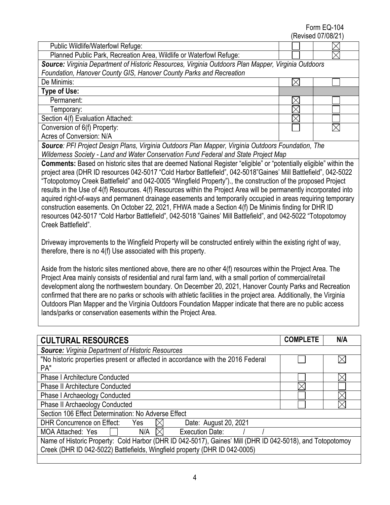## Form EQ-104

|                                                                                                                            |  | (Revised 07/08/21) |  |
|----------------------------------------------------------------------------------------------------------------------------|--|--------------------|--|
| Public Wildlife/Waterfowl Refuge:                                                                                          |  |                    |  |
| Planned Public Park, Recreation Area, Wildlife or Waterfowl Refuge:                                                        |  |                    |  |
| Source: Virginia Department of Historic Resources, Virginia Outdoors Plan Mapper, Virginia Outdoors                        |  |                    |  |
| Foundation, Hanover County GIS, Hanover County Parks and Recreation                                                        |  |                    |  |
| De Minimis:                                                                                                                |  |                    |  |
| Type of Use:                                                                                                               |  |                    |  |
| Permanent:                                                                                                                 |  |                    |  |
| Temporary:                                                                                                                 |  |                    |  |
| Section 4(f) Evaluation Attached:                                                                                          |  |                    |  |
| Conversion of 6(f) Property:                                                                                               |  |                    |  |
| Acres of Conversion: N/A                                                                                                   |  |                    |  |
| Source: PFI Project Design Plans, Virginia Outdoors Plan Mapper, Virginia Outdoors Foundation, The                         |  |                    |  |
| Wilderness Society - Land and Water Conservation Fund Federal and State Project Map                                        |  |                    |  |
| <b>Comments:</b> Based on historic sites that are deemed National Register "eligible" or "potentially eligible" within the |  |                    |  |
| project area (DHR ID resources 042-5017 "Cold Harbor Battlefield", 042-5018"Gaines' Mill Battlefield", 042-5022            |  |                    |  |
| "Totopotomoy Creek Battlefield" and 042-0005 "Wingfield Property")., the construction of the proposed Project              |  |                    |  |
| results in the Use of 4(f) Resources. 4(f) Resources within the Project Area will be permanently incorporated into         |  |                    |  |
| aquired right-of-ways and permanent drainage easements and temporarily occupied in areas requiring temporary               |  |                    |  |
| construction easements. On October 22, 2021, FHWA made a Section 4(f) De Minimis finding for DHR ID                        |  |                    |  |
| resources 042-5017 "Cold Harbor Battlefield", 042-5018 "Gaines' Mill Battlefield", and 042-5022 "Totopotomoy               |  |                    |  |
| Creek Battlefield".                                                                                                        |  |                    |  |
|                                                                                                                            |  |                    |  |
| Driveway improvements to the Wingfield Property will be constructed entirely within the existing right of way,             |  |                    |  |
| therefore, there is no 4(f) Use associated with this property.                                                             |  |                    |  |

Aside from the historic sites mentioned above, there are no other 4(f) resources within the Project Area. The Project Area mainly consists of residential and rural farm land, with a small portion of commercial/retail development along the northwestern boundary. On December 20, 2021, Hanover County Parks and Recreation confirmed that there are no parks or schools with athletic facilities in the project area. Additionally, the Virginia Outdoors Plan Mapper and the Virginia Outdoors Foundation Mapper indicate that there are no public access lands/parks or conservation easements within the Project Area.

| <b>CULTURAL RESOURCES</b>                                                                                 | <b>COMPLETE</b> | N/A |
|-----------------------------------------------------------------------------------------------------------|-----------------|-----|
| <b>Source:</b> Virginia Department of Historic Resources                                                  |                 |     |
| "No historic properties present or affected in accordance with the 2016 Federal                           |                 | ⋉   |
| PA"                                                                                                       |                 |     |
| <b>Phase I Architecture Conducted</b>                                                                     |                 |     |
| <b>Phase II Architecture Conducted</b>                                                                    |                 |     |
| <b>Phase I Archaeology Conducted</b>                                                                      |                 |     |
| Phase II Archaeology Conducted                                                                            |                 |     |
| Section 106 Effect Determination: No Adverse Effect                                                       |                 |     |
| DHR Concurrence on Effect:<br>Date: August 20, 2021<br>Yes                                                |                 |     |
| Execution Date:<br>N/A<br><b>MOA Attached: Yes</b>                                                        |                 |     |
| Name of Historic Property: Cold Harbor (DHR ID 042-5017), Gaines' Mill (DHR ID 042-5018), and Totopotomoy |                 |     |
| Creek (DHR ID 042-5022) Battlefields, Wingfield property (DHR ID 042-0005)                                |                 |     |
|                                                                                                           |                 |     |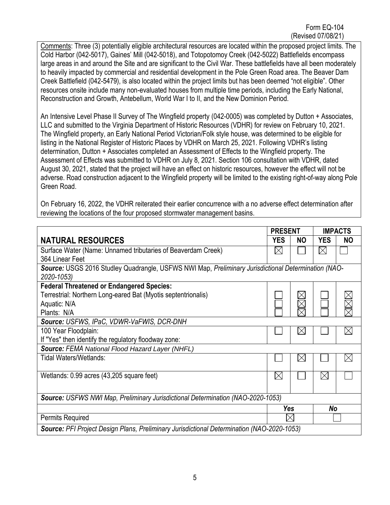Comments: Three (3) potentially eligible architectural resources are located within the proposed project limits. The Cold Harbor (042-5017), Gaines' Mill (042-5018), and Totopotomoy Creek (042-5022) Battlefields encompass large areas in and around the Site and are significant to the Civil War. These battlefields have all been moderately to heavily impacted by commercial and residential development in the Pole Green Road area. The Beaver Dam Creek Battlefield (042-5479), is also located within the project limits but has been deemed "not eligible". Other resources onsite include many non-evaluated houses from multiple time periods, including the Early National, Reconstruction and Growth, Antebellum, World War I to II, and the New Dominion Period.

An Intensive Level Phase II Survey of The Wingfield property (042-0005) was completed by Dutton + Associates, LLC and submitted to the Virginia Department of Historic Resources (VDHR) for review on February 10, 2021. The Wingfield property, an Early National Period Victorian/Folk style house, was determined to be eligible for listing in the National Register of Historic Places by VDHR on March 25, 2021. Following VDHR's listing determination, Dutton + Associates completed an Assessment of Effects to the Wingfield property. The Assessment of Effects was submitted to VDHR on July 8, 2021. Section 106 consultation with VDHR, dated August 30, 2021, stated that the project will have an effect on historic resources, however the effect will not be adverse. Road construction adjacent to the Wingfield property will be limited to the existing right-of-way along Pole Green Road.

On February 16, 2022, the VDHR reiterated their earlier concurrence with a no adverse effect determination after reviewing the locations of the four proposed stormwater management basins.

|                                                                                                                   | <b>PRESENT</b> |              | <b>IMPACTS</b> |           |  |
|-------------------------------------------------------------------------------------------------------------------|----------------|--------------|----------------|-----------|--|
| <b>NATURAL RESOURCES</b>                                                                                          | <b>YES</b>     | <b>NO</b>    | <b>YES</b>     | <b>NO</b> |  |
| Surface Water (Name: Unnamed tributaries of Beaverdam Creek)                                                      | $\boxtimes$    |              | $\boxtimes$    |           |  |
| 364 Linear Feet                                                                                                   |                |              |                |           |  |
| Source: USGS 2016 Studley Quadrangle, USFWS NWI Map, Preliminary Jurisdictional Determination (NAO-<br>2020-1053) |                |              |                |           |  |
| <b>Federal Threatened or Endangered Species:</b>                                                                  |                |              |                |           |  |
| Terrestrial: Northern Long-eared Bat (Myotis septentrionalis)                                                     |                |              |                |           |  |
| Aquatic: N/A                                                                                                      |                |              |                |           |  |
| Plants: N/A                                                                                                       |                |              |                |           |  |
| Source: USFWS, IPaC, VDWR-VaFWIS, DCR-DNH                                                                         |                |              |                |           |  |
| 100 Year Floodplain:                                                                                              |                | $\mathsf{X}$ |                |           |  |
| If "Yes" then identify the regulatory floodway zone:                                                              |                |              |                |           |  |
| Source: FEMA National Flood Hazard Layer (NHFL)                                                                   |                |              |                |           |  |
| Tidal Waters/Wetlands:                                                                                            |                | $\boxtimes$  |                |           |  |
| Wetlands: 0.99 acres (43,205 square feet)                                                                         | $\boxtimes$    |              | $\boxtimes$    |           |  |
|                                                                                                                   |                |              |                |           |  |
| <b>Source: USFWS NWI Map, Preliminary Jurisdictional Determination (NAO-2020-1053)</b>                            |                |              |                |           |  |
|                                                                                                                   | Yes            |              | No             |           |  |
| <b>Permits Required</b>                                                                                           |                | $\times$     |                |           |  |
| Source: PFI Project Design Plans, Preliminary Jurisdictional Determination (NAO-2020-1053)                        |                |              |                |           |  |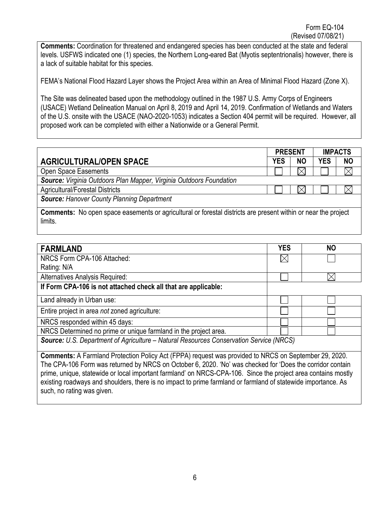**Comments:** Coordination for threatened and endangered species has been conducted at the state and federal levels. USFWS indicated one (1) species, the Northern Long-eared Bat (Myotis septentrionalis) however, there is a lack of suitable habitat for this species.

FEMA's National Flood Hazard Layer shows the Project Area within an Area of Minimal Flood Hazard (Zone X).

The Site was delineated based upon the methodology outlined in the 1987 U.S. Army Corps of Engineers (USACE) Wetland Delineation Manual on April 8, 2019 and April 14, 2019. Confirmation of Wetlands and Waters of the U.S. onsite with the USACE (NAO-2020-1053) indicates a Section 404 permit will be required. However, all proposed work can be completed with either a Nationwide or a General Permit.

|                                                                                                                       | <b>PRESENT</b> |           |            | <b>IMPACTS</b> |
|-----------------------------------------------------------------------------------------------------------------------|----------------|-----------|------------|----------------|
| <b>AGRICULTURAL/OPEN SPACE</b>                                                                                        | <b>YES</b>     | <b>NO</b> | <b>YES</b> | <b>NO</b>      |
| Open Space Easements                                                                                                  |                |           |            |                |
| Source: Virginia Outdoors Plan Mapper, Virginia Outdoors Foundation                                                   |                |           |            |                |
| <b>Agricultural/Forestal Districts</b>                                                                                |                |           |            |                |
| <b>Source: Hanover County Planning Department</b>                                                                     |                |           |            |                |
| <b>Comments:</b> No open space easements or agricultural or forestal districts are present within or near the project |                |           |            |                |
| limits.                                                                                                               |                |           |            |                |

| <b>FARMLAND</b>                                                                                              | <b>YES</b> | <b>NO</b> |
|--------------------------------------------------------------------------------------------------------------|------------|-----------|
| NRCS Form CPA-106 Attached:                                                                                  |            |           |
| Rating: N/A                                                                                                  |            |           |
| Alternatives Analysis Required:                                                                              |            |           |
| If Form CPA-106 is not attached check all that are applicable:                                               |            |           |
| Land already in Urban use:                                                                                   |            |           |
| Entire project in area not zoned agriculture:                                                                |            |           |
| NRCS responded within 45 days:                                                                               |            |           |
| NRCS Determined no prime or unique farmland in the project area.                                             |            |           |
| Source: U.S. Department of Agriculture - Natural Resources Conservation Service (NRCS)                       |            |           |
| <b>Comments:</b> A Farmland Protection Policy Act (FPPA) request was provided to NRCS on September 29, 2020. |            |           |
| The CDA 106 Ferm was returned by NDCS on October 6, 2020. 'No' was obsoled for 'Dees the corridor contain    |            |           |

The CPA-106 Form was returned by NRCS on October 6, 2020. 'No' was checked for 'Does the corridor contain prime, unique, statewide or local important farmland' on NRCS-CPA-106. Since the project area contains mostly existing roadways and shoulders, there is no impact to prime farmland or farmland of statewide importance. As such, no rating was given.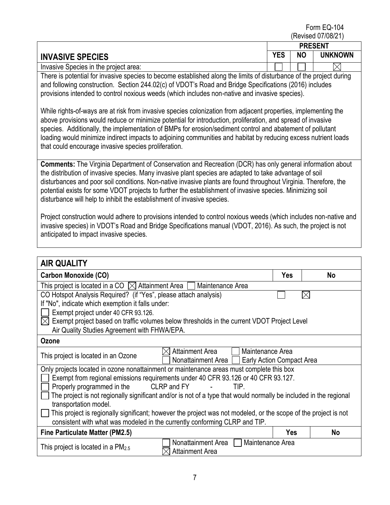Form EQ-104 (Revised 07/08/21)

|                                                                                                                                                                                                                                                                                                                                                                                                                                                                                                                                        | <b>PRESENT</b> |           |                |
|----------------------------------------------------------------------------------------------------------------------------------------------------------------------------------------------------------------------------------------------------------------------------------------------------------------------------------------------------------------------------------------------------------------------------------------------------------------------------------------------------------------------------------------|----------------|-----------|----------------|
| <b>INVASIVE SPECIES</b>                                                                                                                                                                                                                                                                                                                                                                                                                                                                                                                | <b>YES</b>     | <b>NO</b> | <b>UNKNOWN</b> |
| Invasive Species in the project area:                                                                                                                                                                                                                                                                                                                                                                                                                                                                                                  |                |           |                |
| There is potential for invasive species to become established along the limits of disturbance of the project during<br>and following construction. Section 244.02(c) of VDOT's Road and Bridge Specifications (2016) includes<br>provisions intended to control noxious weeds (which includes non-native and invasive species).                                                                                                                                                                                                        |                |           |                |
| While rights-of-ways are at risk from invasive species colonization from adjacent properties, implementing the<br>above provisions would reduce or minimize potential for introduction, proliferation, and spread of invasive<br>species. Additionally, the implementation of BMPs for erosion/sediment control and abatement of pollutant<br>loading would minimize indirect impacts to adjoining communities and habitat by reducing excess nutrient loads<br>that could encourage invasive species proliferation.                   |                |           |                |
| <b>Comments:</b> The Virginia Department of Conservation and Recreation (DCR) has only general information about<br>the distribution of invasive species. Many invasive plant species are adapted to take advantage of soil<br>disturbances and poor soil conditions. Non-native invasive plants are found throughout Virginia. Therefore, the<br>potential exists for some VDOT projects to further the establishment of invasive species. Minimizing soil<br>disturbance will help to inhibit the establishment of invasive species. |                |           |                |
| Project construction would adhere to provisions intended to control noxious weeds (which includes non-native and<br>invasive species) in VDOT's Road and Bridge Specifications manual (VDOT, 2016). As such, the project is not<br>anticipated to impact invasive species.                                                                                                                                                                                                                                                             |                |           |                |

| <b>AIR QUALITY</b>                                                                                                |          |           |  |  |
|-------------------------------------------------------------------------------------------------------------------|----------|-----------|--|--|
| Carbon Monoxide (CO)                                                                                              | Yes      | No        |  |  |
| This project is located in a CO $\,\boxtimes$ Attainment Area $\,$ [<br>Maintenance Area                          |          |           |  |  |
| CO Hotspot Analysis Required? (if "Yes", please attach analysis)                                                  | $\times$ |           |  |  |
| If "No", indicate which exemption it falls under:                                                                 |          |           |  |  |
| Exempt project under 40 CFR 93.126.                                                                               |          |           |  |  |
| $\boxtimes$ Exempt project based on traffic volumes below thresholds in the current VDOT Project Level            |          |           |  |  |
| Air Quality Studies Agreement with FHWA/EPA.                                                                      |          |           |  |  |
| Ozone                                                                                                             |          |           |  |  |
| <b>Attainment Area</b><br>Maintenance Area<br>This project is located in an Ozone                                 |          |           |  |  |
| Nonattainment Area   Early Action Compact Area                                                                    |          |           |  |  |
| Only projects located in ozone nonattainment or maintenance areas must complete this box                          |          |           |  |  |
| Exempt from regional emissions requirements under 40 CFR 93.126 or 40 CFR 93.127.                                 |          |           |  |  |
| Properly programmed in the<br>CLRP and FY<br>TIP.                                                                 |          |           |  |  |
| The project is not regionally significant and/or is not of a type that would normally be included in the regional |          |           |  |  |
| transportation model.                                                                                             |          |           |  |  |
| This project is regionally significant; however the project was not modeled, or the scope of the project is not   |          |           |  |  |
| consistent with what was modeled in the currently conforming CLRP and TIP.                                        |          |           |  |  |
| <b>Fine Particulate Matter (PM2.5)</b>                                                                            | Yes      | <b>No</b> |  |  |
| Nonattainment Area<br>Maintenance Area<br>This project is located in a $PM2.5$<br><b>Attainment Area</b>          |          |           |  |  |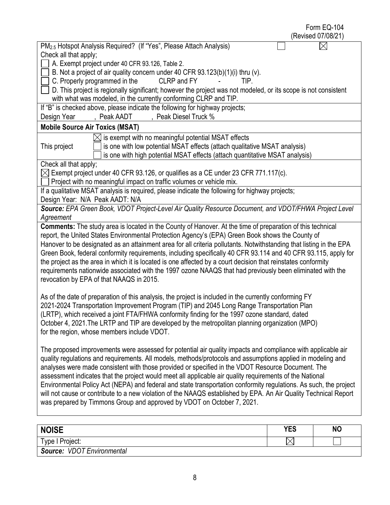| Form EQ-104<br>(Revised 07/08/21)                                                                                                                                                           |
|---------------------------------------------------------------------------------------------------------------------------------------------------------------------------------------------|
| PM <sub>2.5</sub> Hotspot Analysis Required? (If "Yes", Please Attach Analysis)                                                                                                             |
| Check all that apply;                                                                                                                                                                       |
| A. Exempt project under 40 CFR 93.126, Table 2.                                                                                                                                             |
| B. Not a project of air quality concern under 40 CFR 93.123(b)(1)(i) thru (v).                                                                                                              |
| C. Properly programmed in the<br>CLRP and FY<br>TIP.                                                                                                                                        |
| D. This project is regionally significant; however the project was not modeled, or its scope is not consistent                                                                              |
| with what was modeled, in the currently conforming CLRP and TIP.                                                                                                                            |
| If "B" is checked above, please indicate the following for highway projects;                                                                                                                |
| , Peak AADT<br>, Peak Diesel Truck %<br>Design Year                                                                                                                                         |
| <b>Mobile Source Air Toxics (MSAT)</b>                                                                                                                                                      |
| is exempt with no meaningful potential MSAT effects                                                                                                                                         |
| This project<br>is one with low potential MSAT effects (attach qualitative MSAT analysis)                                                                                                   |
| is one with high potential MSAT effects (attach quantitative MSAT analysis)                                                                                                                 |
| Check all that apply;                                                                                                                                                                       |
| $\boxtimes$ Exempt project under 40 CFR 93.126, or qualifies as a CE under 23 CFR 771.117(c).                                                                                               |
| Project with no meaningful impact on traffic volumes or vehicle mix.                                                                                                                        |
| If a qualitative MSAT analysis is required, please indicate the following for highway projects;<br>Design Year: N/A Peak AADT: N/A                                                          |
| Source: EPA Green Book, VDOT Project-Level Air Quality Resource Document, and VDOT/FHWA Project Level                                                                                       |
| Agreement                                                                                                                                                                                   |
| Comments: The study area is located in the County of Hanover. At the time of preparation of this technical                                                                                  |
| report, the United States Environmental Protection Agency's (EPA) Green Book shows the County of                                                                                            |
| Hanover to be designated as an attainment area for all criteria pollutants. Notwithstanding that listing in the EPA                                                                         |
| Green Book, federal conformity requirements, including specifically 40 CFR 93.114 and 40 CFR 93.115, apply for                                                                              |
| the project as the area in which it is located is one affected by a court decision that reinstates conformity                                                                               |
| requirements nationwide associated with the 1997 ozone NAAQS that had previously been eliminated with the                                                                                   |
| revocation by EPA of that NAAQS in 2015.                                                                                                                                                    |
|                                                                                                                                                                                             |
| As of the date of preparation of this analysis, the project is included in the currently conforming FY                                                                                      |
| 2021-2024 Transportation Improvement Program (TIP) and 2045 Long Range Transportation Plan<br>(LRTP), which received a joint FTA/FHWA conformity finding for the 1997 ozone standard, dated |
| October 4, 2021. The LRTP and TIP are developed by the metropolitan planning organization (MPO)                                                                                             |
| for the region, whose members include VDOT.                                                                                                                                                 |
|                                                                                                                                                                                             |
| The proposed improvements were assessed for potential air quality impacts and compliance with applicable air                                                                                |
| quality regulations and requirements. All models, methods/protocols and assumptions applied in modeling and                                                                                 |
| analyses were made consistent with those provided or specified in the VDOT Resource Document. The                                                                                           |
| assessment indicates that the project would meet all applicable air quality requirements of the National                                                                                    |
| Environmental Policy Act (NEPA) and federal and state transportation conformity regulations. As such, the project                                                                           |
| will not cause or contribute to a new violation of the NAAQS established by EPA. An Air Quality Technical Report                                                                            |
| was prepared by Timmons Group and approved by VDOT on October 7, 2021.                                                                                                                      |
|                                                                                                                                                                                             |
| <b>NOICE</b><br><b>VEC</b><br>הוח                                                                                                                                                           |

| <b>NOISE</b>                         | <b>YES</b> | <b>NO</b> |
|--------------------------------------|------------|-----------|
| Type I Project:                      | ╰          |           |
| <b>VDOT Environmental</b><br>Source: |            |           |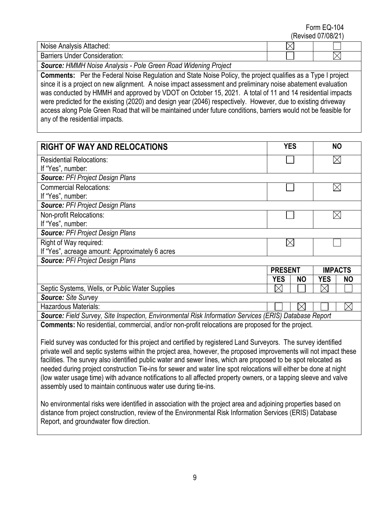Form EQ-104 (Revised 07/08/21)

| ; Attached:<br>Noise<br>مرم دا<br>' Andivsis . |  |  |  |
|------------------------------------------------|--|--|--|
| Under<br>------<br>rriers<br>. Consideration:  |  |  |  |

*Source: HMMH Noise Analysis - Pole Green Road Widening Project*

**Comments:** Per the Federal Noise Regulation and State Noise Policy, the project qualifies as a Type I project since it is a project on new alignment. A noise impact assessment and preliminary noise abatement evaluation was conducted by HMMH and approved by VDOT on October 15, 2021. A total of 11 and 14 residential impacts were predicted for the existing (2020) and design year (2046) respectively. However, due to existing driveway access along Pole Green Road that will be maintained under future conditions, barriers would not be feasible for any of the residential impacts.

| <b>RIGHT OF WAY AND RELOCATIONS</b>                                                                   | <b>YES</b>     |           |                | <b>NO</b> |
|-------------------------------------------------------------------------------------------------------|----------------|-----------|----------------|-----------|
| <b>Residential Relocations:</b>                                                                       |                |           |                |           |
| If "Yes", number:                                                                                     |                |           |                |           |
| <b>Source: PFI Project Design Plans</b>                                                               |                |           |                |           |
| <b>Commercial Relocations:</b>                                                                        |                |           |                |           |
| If "Yes", number:                                                                                     |                |           |                |           |
| <b>Source: PFI Project Design Plans</b>                                                               |                |           |                |           |
| Non-profit Relocations:                                                                               |                |           |                |           |
| If "Yes", number:                                                                                     |                |           |                |           |
| <b>Source: PFI Project Design Plans</b>                                                               |                |           |                |           |
| Right of Way required:                                                                                |                |           |                |           |
| If "Yes", acreage amount: Approximately 6 acres                                                       |                |           |                |           |
| <b>Source: PFI Project Design Plans</b>                                                               |                |           |                |           |
|                                                                                                       | <b>PRESENT</b> |           | <b>IMPACTS</b> |           |
|                                                                                                       | <b>YES</b>     | <b>NO</b> | <b>YES</b>     | <b>NO</b> |
| Septic Systems, Wells, or Public Water Supplies                                                       | $\boxtimes$    |           |                |           |
| Source: Site Survey                                                                                   |                |           |                |           |
| Hazardous Materials:                                                                                  |                |           |                | $\times$  |
| Source: Field Survey, Site Inspection, Environmental Risk Information Services (ERIS) Database Report |                |           |                |           |
| Comments: No residential commercial and/or non-profit relocations are proposed for the project        |                |           |                |           |

**Comments:** No residential, commercial, and/or non-profit relocations are proposed for the project.

Field survey was conducted for this project and certified by registered Land Surveyors. The survey identified private well and septic systems within the project area, however, the proposed improvements will not impact these facilities. The survey also identified public water and sewer lines, which are proposed to be spot relocated as needed during project construction Tie-ins for sewer and water line spot relocations will either be done at night (low water usage time) with advance notifications to all affected property owners, or a tapping sleeve and valve assembly used to maintain continuous water use during tie-ins.

No environmental risks were identified in association with the project area and adjoining properties based on distance from project construction, review of the Environmental Risk Information Services (ERIS) Database Report, and groundwater flow direction.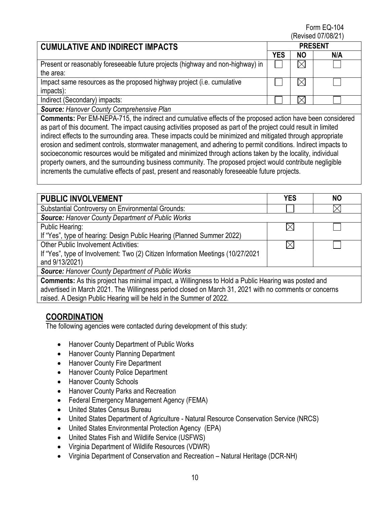Form EQ-104 (Revised 07/08/21)

#### **CUMULATIVE AND INDIRECT IMPACTS PRESENT YES NO N/A**  $\boxtimes$ Present or reasonably foreseeable future projects (highway and non-highway) in the area: Impact same resources as the proposed highway project (i.e. cumulative impacts):  $\boxtimes$ Indirect (Secondary) impacts:

*Source: Hanover County Comprehensive Plan*

**Comments:** Per EM-NEPA-715, the indirect and cumulative effects of the proposed action have been considered as part of this document. The impact causing activities proposed as part of the project could result in limited indirect effects to the surrounding area. These impacts could be minimized and mitigated through appropriate erosion and sediment controls, stormwater management, and adhering to permit conditions. Indirect impacts to socioeconomic resources would be mitigated and minimized through actions taken by the locality, individual property owners, and the surrounding business community. The proposed project would contribute negligible increments the cumulative effects of past, present and reasonably foreseeable future projects.

| <b>PUBLIC INVOLVEMENT</b>                                                                              | <b>YES</b> | <b>NO</b> |  |  |
|--------------------------------------------------------------------------------------------------------|------------|-----------|--|--|
| <b>Substantial Controversy on Environmental Grounds:</b>                                               |            |           |  |  |
| <b>Source: Hanover County Department of Public Works</b>                                               |            |           |  |  |
| Public Hearing:                                                                                        |            |           |  |  |
| If "Yes", type of hearing: Design Public Hearing (Planned Summer 2022)                                 |            |           |  |  |
| <b>Other Public Involvement Activities:</b>                                                            | IХ         |           |  |  |
| If "Yes", type of Involvement: Two (2) Citizen Information Meetings (10/27/2021                        |            |           |  |  |
| and 9/13/2021)                                                                                         |            |           |  |  |
| <b>Source: Hanover County Department of Public Works</b>                                               |            |           |  |  |
| Comments: As this project has minimal impact, a Willingness to Hold a Public Hearing was posted and    |            |           |  |  |
| advertised in March 2021. The Willingness period closed on March 31, 2021 with no comments or concerns |            |           |  |  |
| raised. A Design Public Hearing will be held in the Summer of 2022.                                    |            |           |  |  |

### **COORDINATION**

The following agencies were contacted during development of this study:

- Hanover County Department of Public Works
- Hanover County Planning Department
- Hanover County Fire Department
- Hanover County Police Department
- Hanover County Schools
- Hanover County Parks and Recreation
- Federal Emergency Management Agency (FEMA)
- United States Census Bureau
- United States Department of Agriculture Natural Resource Conservation Service (NRCS)
- United States Environmental Protection Agency (EPA)
- United States Fish and Wildlife Service (USFWS)
- Virginia Department of Wildlife Resources (VDWR)
- Virginia Department of Conservation and Recreation Natural Heritage (DCR-NH)